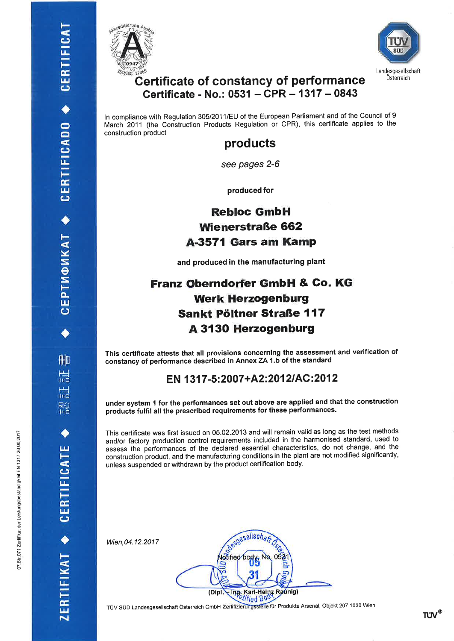删

晨

扁

吊台

ERTIFIKAT + CERTIFICATE

CEPTMФИКАТ ◆ CERTIFICADO ◆ CERTIFICAT





#### **Certificate of constancy of performance** Certificate - No.: 0531 - CPR - 1317 - 0843

In compliance with Regulation 305/2011/EU of the European Parliament and of the Council of 9 March 2011 (the Construction Products Regulation or CPR), this certificate applies to the construction product

#### products

see pages 2-6

produced for

#### **Rebloc GmbH Wienerstraße 662** A-3571 Gars am Kamp

and produced in the manufacturing plant

#### **Franz Oberndorfer GmbH & Co. KG Werk Herzogenburg** Sankt Pöltner Straße 117 **A 3130 Herzogenburg**

This certificate attests that all provisions concerning the assessment and verification of constancy of performance described in Annex ZA 1.b of the standard

#### EN 1317-5:2007+A2:2012/AC:2012

under system 1 for the performances set out above are applied and that the construction products fulfil all the prescribed requirements for these performances.

This certificate was first issued on 05.02.2013 and will remain valid as long as the test methods and/or factory production control requirements included in the harmonised standard, used to assess the performances of the declared essential characteristics, do not change, and the construction product, and the manufacturing conditions in the plant are not modified significantly, unless suspended or withdrawn by the product certification body.

Wien, 04.12.2017

esgesellscha otified body Ing. Karl-Heinz Raunig) (Dipl

TÜV SÜD Landesgesellschaft Österreich GmbH Zertifizierungsstelle für Produkte Arsenal, Objekt 207 1030 Wien

**TUV**®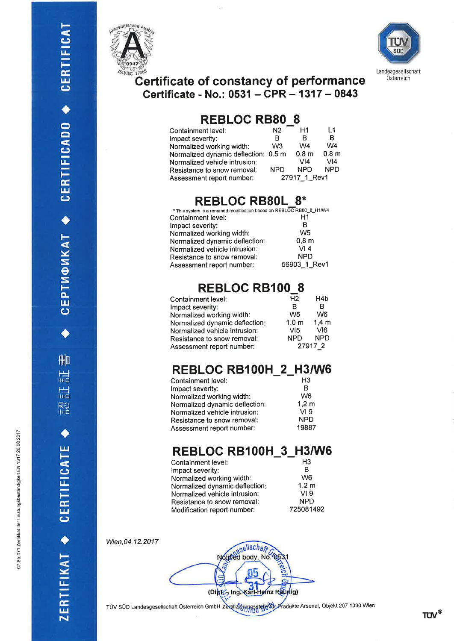





## Certificate of constancy of performance<br>Certificate - No.: 0531 - CPR - 1317 - 0843

#### **REBLOC RB80\_8**

| Containment level:                   | N2         | H1               | l 1              |
|--------------------------------------|------------|------------------|------------------|
| Impact severity:                     | в          | в                | в                |
| Normalized working width:            | W3         | W4               | W4               |
| Normalized dynamic deflection: 0.5 m |            | 0.8 <sub>m</sub> | 0.8 <sub>m</sub> |
| Normalized vehicle intrusion:        |            | VI4              | VI4              |
| Resistance to snow removal:          | <b>NPD</b> | <b>NPD</b>       | <b>NPD</b>       |
| Assessment report number:            |            | 27917 1 Rev1     |                  |

#### **REBLOC RB80L 8\***

| * This system is a renamed modification based on REBLOC RB80_8_H1/W4 |                  |
|----------------------------------------------------------------------|------------------|
| Containment level:                                                   | Η1               |
| Impact severity:                                                     | в                |
| Normalized working width:                                            | W <sub>5</sub>   |
| Normalized dynamic deflection:                                       | 0.8 <sub>m</sub> |
| Normalized vehicle intrusion:                                        | VI4              |
| Resistance to snow removal:                                          | <b>NPD</b>       |
| Assessment report number:                                            | 56903 1 Rev1     |

## REBLOC RB100\_8

| Containment level:             | H <sub>2</sub>   | H4b              |
|--------------------------------|------------------|------------------|
| Impact severity:               | R                | R                |
| Normalized working width:      | W <sub>5</sub>   | W <sub>6</sub>   |
| Normalized dynamic deflection: | 1.0 <sub>m</sub> | 1.4 <sub>m</sub> |
| Normalized vehicle intrusion:  | VI5              | VI <sub>6</sub>  |
| Resistance to snow removal:    | <b>NPD</b>       | <b>NPD</b>       |
| Assessment report number:      |                  | 27917 2          |

#### REBLOC RB100H\_2\_H3/W6

| Containment level:             | H <sub>3</sub>  |
|--------------------------------|-----------------|
| mpact severity:                | в               |
| Normalized working width:      | W <sub>6</sub>  |
| Normalized dynamic deflection: | $1,2 \text{ m}$ |
| Normalized vehicle intrusion:  | VI <sub>9</sub> |
| Resistance to snow removal:    | <b>NPD</b>      |
| Assessment report number:      | 19887           |

## REBLOC RB100H\_3\_H3/W6

| Containment level:             | H <sub>3</sub>  |
|--------------------------------|-----------------|
| Impact severity:               | в               |
| Normalized working width:      | W <sub>6</sub>  |
| Normalized dynamic deflection: | 1,2 m           |
| Normalized vehicle intrusion:  | VI <sub>9</sub> |
| Resistance to snow removal:    | <b>NPD</b>      |
| Modification report number:    | 725081492       |

Wien, 04.12.2017

Notified body, No. Ġ. Karl-Heinz Raunig) (Diptz Ing

TÜV SÜD Landesgesellschaft Österreich GmbH Zertifizierungsstelle tich Produkte Arsenal, Objekt 207 1030 Wien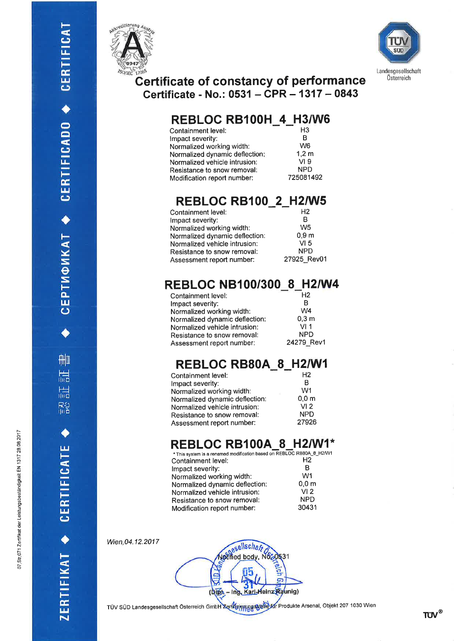



#### **Certificate of constancy of performance** Certificate - No.: 0531 – CPR – 1317 – 0843

## REBLOC RB100H 4 H3/W6

| Containment level:             | H3              |
|--------------------------------|-----------------|
| Impact severity:               | в               |
| Normalized working width:      | W <sub>6</sub>  |
| Normalized dynamic deflection: | $1,2 \text{ m}$ |
| Normalized vehicle intrusion:  | VI <sub>9</sub> |
| Resistance to snow removal:    | <b>NPD</b>      |
| Modification report number:    | 725081492       |
|                                |                 |

## **REBLOC RB100\_2\_H2/W5**

| Containment level:             | H2               |
|--------------------------------|------------------|
| Impact severity:               | R                |
| Normalized working width:      | W <sub>5</sub>   |
| Normalized dynamic deflection: | 0.9 <sub>m</sub> |
| Normalized vehicle intrusion:  | VI 5             |
| Resistance to snow removal:    | <b>NPD</b>       |
| Assessment report number:      | 27925 Rev01      |

#### REBLOC NB100/300\_8\_H2/W4

| Containment level:             | H <sub>2</sub>   |
|--------------------------------|------------------|
| Impact severity:               | в                |
| Normalized working width:      | W <sub>4</sub>   |
| Normalized dynamic deflection: | 0.3 <sub>m</sub> |
| Normalized vehicle intrusion:  | VI1              |
| Resistance to snow removal:    | <b>NPD</b>       |
| Assessment report number:      | 24279_Rev1       |

#### REBLOC RB80A\_8\_H2/W1

| H <sub>2</sub>   |
|------------------|
| в                |
| W <sub>1</sub>   |
| 0.0 <sub>m</sub> |
| VI <sub>2</sub>  |
| <b>NPD</b>       |
| 27926            |
|                  |

## **REBLOC RB100A\_8\_H2/W1\***

| * This system is a renamed modification based on REBLOC RB80A_8_H2/W |                  |
|----------------------------------------------------------------------|------------------|
| Containment level:                                                   | H <sub>2</sub>   |
| Impact severity:                                                     | в                |
| Normalized working width:                                            | W <sub>1</sub>   |
| Normalized dynamic deflection:                                       | 0.0 <sub>m</sub> |
| Normalized vehicle intrusion:                                        | VI <sub>2</sub>  |
| Resistance to snow removal:                                          | <b>NPD</b>       |
| Modification report number:                                          | 30431            |

Wien, 04.12.2017

esellschaft officed body, No.  $\overline{a}$ Karl-Heinz Raunig) (Dipt)

TÜV SÜD Landesgesellschaft Österreich GmbH Zertharen und Kar Produkte Arsenal, Objekt 207 1030 Wien

**TUV®**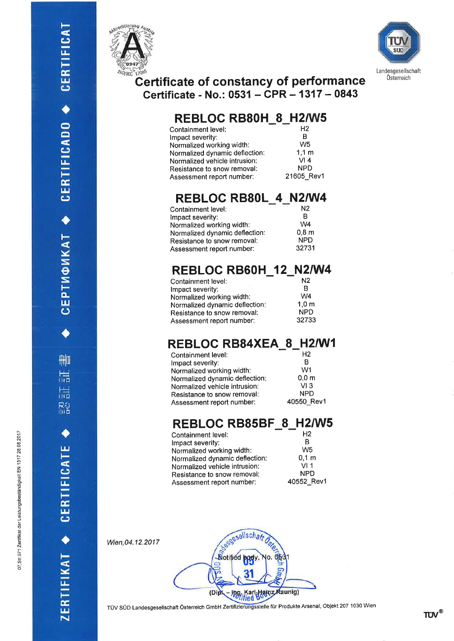刪

温

ZERTIFIKAT + CERTIFICATE

CEPTM©MKAT ◆ CERTIFICADO ◆ CERTIFICAT





# Certificate of constancy of performance<br>Certificate - No.: 0531 - CPR - 1317 - 0843

#### REBLOC RB80H\_8\_H2/W5

| Containment level:             | H <sub>2</sub>   |
|--------------------------------|------------------|
| Impact severity:               | в                |
| Normalized working width:      | W <sub>5</sub>   |
| Normalized dynamic deflection: | 1.1 <sub>m</sub> |
| Normalized vehicle intrusion:  | VI4              |
| Resistance to snow removal:    | <b>NPD</b>       |
| Assessment report number:      | 21605 Rev1       |
|                                |                  |

#### REBLOC RB80L\_4\_N2/W4

| Containment level:             | N2               |
|--------------------------------|------------------|
| Impact severity:               | R                |
| Normalized working width:      | W4               |
| Normalized dynamic deflection: | 0.8 <sub>m</sub> |
| Resistance to snow removal:    | <b>NPD</b>       |
| Assessment report number:      | 32731            |

#### REBLOC RB60H\_12\_N2/W4

| Containment level:             | N <sub>2</sub>   |
|--------------------------------|------------------|
| Impact severity:               | в                |
| Normalized working width:      | W4               |
| Normalized dynamic deflection: | 1.0 <sub>m</sub> |
| Resistance to snow removal:    | <b>NPD</b>       |
| Assessment report number:      | 32733            |
|                                |                  |

## REBLOC RB84XEA\_8\_H2/W1

| Containment level:             | H <sub>2</sub>   |
|--------------------------------|------------------|
| Impact severity:               | R                |
| Normalized working width:      | W <sub>1</sub>   |
| Normalized dynamic deflection: | 0.0 <sub>m</sub> |
| Normalized vehicle intrusion:  | VI3              |
| Resistance to snow removal:    | <b>NPD</b>       |
| Assessment report number:      | 40550 Rev1       |

## REBLOC RB85BF\_8\_H2/W5

| Containment level:             | H <sub>2</sub>   |
|--------------------------------|------------------|
| mpact severity:                | в                |
| Vormalized working width:      | W <sub>5</sub>   |
| Normalized dynamic deflection: | 0.1 <sub>m</sub> |
| Normalized vehicle intrusion:  | VI 1             |
| Resistance to snow removal:    | <b>NPD</b>       |
| Assessment report number:      | 40552 Rev1       |
|                                |                  |

Wien, 04.12.2017

esgesellschar **Notified** Raunig) (Dip **hofified Boons** 

TÜV SÜD Landesgesellschaft Österreich GmbH Zertifizierungsstelle für Produkte Arsenal, Objekt 207 1030 Wien

 $TUV^{\tiny{\textcircled{\tiny{R}}}}$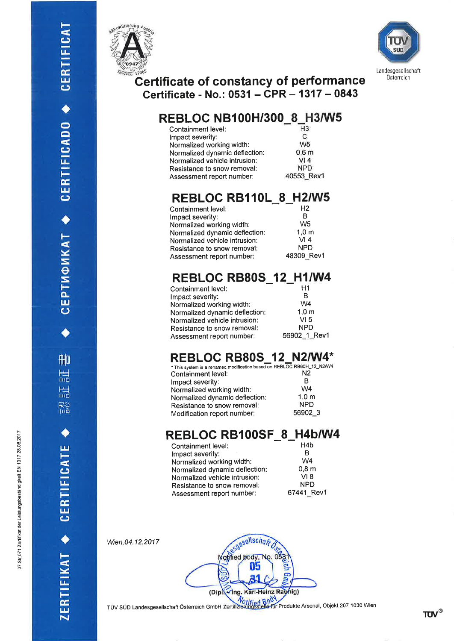





#### Certificate of constancy of performance Certificate - No.: 0531 - CPR - 1317 - 0843

## \_8\_H3/W5 REBLOC NBl OOH/3OO

| Containment level:             | H <sub>3</sub> |
|--------------------------------|----------------|
| Impact severity:               | C              |
| Normalized working width:      | W <sub>5</sub> |
| Normalized dynamic deflection: | 0,6m           |
| Normalized vehicle intrusion:  | VI4            |
| Resistance to snow removal:    | <b>NPD</b>     |
| Assessment report number:      | 40553 Rev1     |
|                                |                |

#### REBLOC RB110L\_8\_H2/W5

| H <sub>2</sub>  |
|-----------------|
| в               |
| W <sub>5</sub>  |
| $1,0 \text{ m}$ |
| VI4             |
| <b>NPD</b>      |
| 48309 Rev1      |
|                 |

## REBLOC RB80S\_12\_H1/W4

| Containment level:             | H1               |
|--------------------------------|------------------|
| Impact severity:               | R                |
| Normalized working width:      | W4               |
| Normalized dynamic deflection: | 1.0 <sub>m</sub> |
| Normalized vehicle intrusion:  | VI <sub>5</sub>  |
| Resistance to snow removal:    | <b>NPD</b>       |
| Assessment report number:      | 56902_1_Rev1     |
|                                |                  |

#### REBLOC RB80S\_12\_N2/W4\*

| * This system is a renamed modification based on REBLOC RB60H_12_N2/W |                  |
|-----------------------------------------------------------------------|------------------|
| Containment level:                                                    | N <sub>2</sub>   |
| Impact severity:                                                      | R                |
| Normalized working width:                                             | W <sub>4</sub>   |
| Normalized dynamic deflection:                                        | 1.0 <sub>m</sub> |
| Resistance to snow removal:                                           | <b>NPD</b>       |
| Modification report number:                                           | 56902 3          |
|                                                                       |                  |

#### REBLOC RB100SF\_8\_H4b/W4

| Containment level:             | H <sub>4</sub> b |
|--------------------------------|------------------|
| Impact severity:               | в                |
| Normalized working width:      | W <sub>4</sub>   |
| Normalized dynamic deflection: | 0.8 <sub>m</sub> |
| Normalized vehicle intrusion:  | VI 8             |
| Resistance to snow removal:    | <b>NPD</b>       |
| Assessment report number:      | 67441_Rev1       |

Wien,04.12.2017

ERTIFIKAT + CERTIFICATE

05 Ing. Karl-Heinz Rayhig) (D

esgesellschar Motified body, No.

TÜV SÜD Landesgesellschaft Österreich GmbH Zertifizierungsstelle für Produkte Arsenal, Objekt 207 1030 Wien